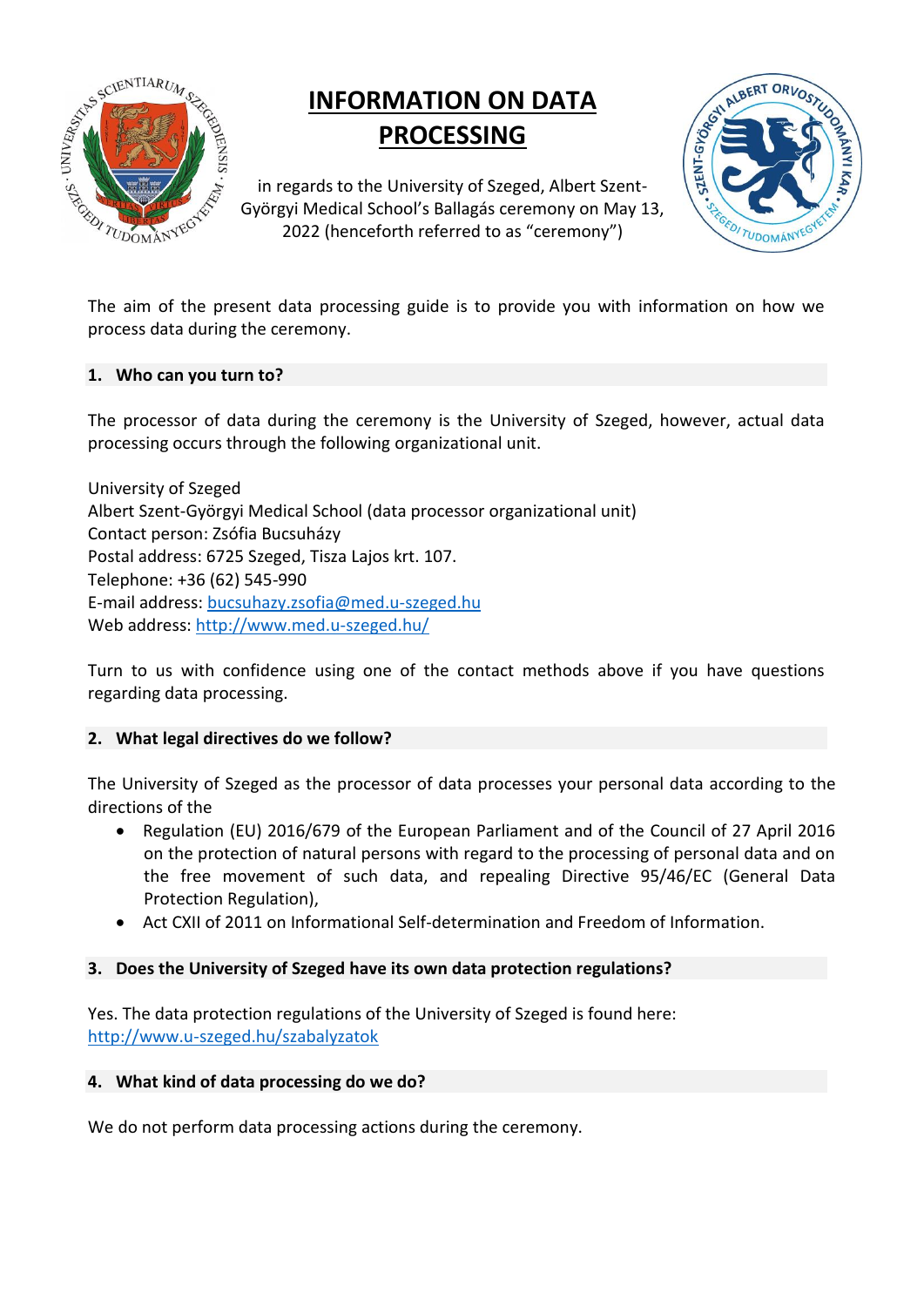

# **INFORMATION ON DATA PROCESSING**

in regards to the University of Szeged, Albert Szent-Györgyi Medical School's Ballagás ceremony on May 13, 2022 (henceforth referred to as "ceremony")



The aim of the present data processing guide is to provide you with information on how we process data during the ceremony.

#### **1. Who can you turn to?**

The processor of data during the ceremony is the University of Szeged, however, actual data processing occurs through the following organizational unit.

University of Szeged Albert Szent-Györgyi Medical School (data processor organizational unit) Contact person: Zsófia Bucsuházy Postal address: 6725 Szeged, Tisza Lajos krt. 107. Telephone: +36 (62) 545-990 E-mail address: [bucsuhazy.zsofia@med.u-szeged.hu](mailto:bucsuhazy.zsofia@med.u-szeged.hu) Web address:<http://www.med.u-szeged.hu/>

Turn to us with confidence using one of the contact methods above if you have questions regarding data processing.

### **2. What legal directives do we follow?**

The University of Szeged as the processor of data processes your personal data according to the directions of the

- Regulation (EU) 2016/679 of the European Parliament and of the Council of 27 April 2016 on the protection of natural persons with regard to the processing of personal data and on the free movement of such data, and repealing Directive 95/46/EC (General Data Protection Regulation),
- Act CXII of 2011 on Informational Self-determination and Freedom of Information.

### **3. Does the University of Szeged have its own data protection regulations?**

Yes. The data protection regulations of the University of Szeged is found here: <http://www.u-szeged.hu/szabalyzatok>

#### **4. What kind of data processing do we do?**

We do not perform data processing actions during the ceremony.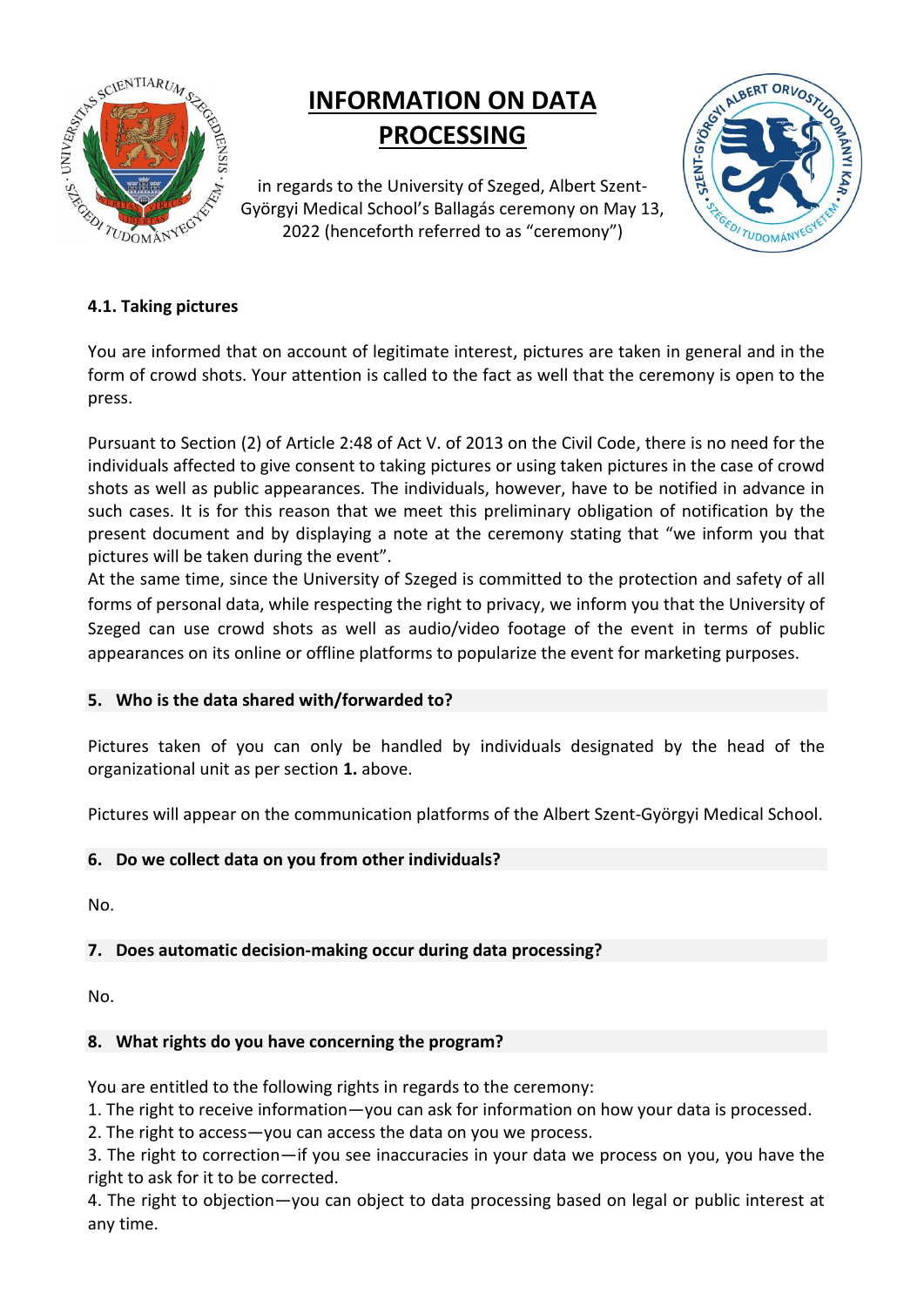

# **INFORMATION ON DATA PROCESSING**

in regards to the University of Szeged, Albert Szent-Györgyi Medical School's Ballagás ceremony on May 13, 2022 (henceforth referred to as "ceremony")



## **4.1. Taking pictures**

You are informed that on account of legitimate interest, pictures are taken in general and in the form of crowd shots. Your attention is called to the fact as well that the ceremony is open to the press.

Pursuant to Section (2) of Article 2:48 of Act V. of 2013 on the Civil Code, there is no need for the individuals affected to give consent to taking pictures or using taken pictures in the case of crowd shots as well as public appearances. The individuals, however, have to be notified in advance in such cases. It is for this reason that we meet this preliminary obligation of notification by the present document and by displaying a note at the ceremony stating that "we inform you that pictures will be taken during the event".

At the same time, since the University of Szeged is committed to the protection and safety of all forms of personal data, while respecting the right to privacy, we inform you that the University of Szeged can use crowd shots as well as audio/video footage of the event in terms of public appearances on its online or offline platforms to popularize the event for marketing purposes.

### **5. Who is the data shared with/forwarded to?**

Pictures taken of you can only be handled by individuals designated by the head of the organizational unit as per section **1.** above.

Pictures will appear on the communication platforms of the Albert Szent-Györgyi Medical School.

### **6. Do we collect data on you from other individuals?**

No.

### **7. Does automatic decision-making occur during data processing?**

No.

### **8. What rights do you have concerning the program?**

You are entitled to the following rights in regards to the ceremony:

1. The right to receive information—you can ask for information on how your data is processed.

2. The right to access—you can access the data on you we process.

3. The right to correction—if you see inaccuracies in your data we process on you, you have the right to ask for it to be corrected.

4. The right to objection—you can object to data processing based on legal or public interest at any time.